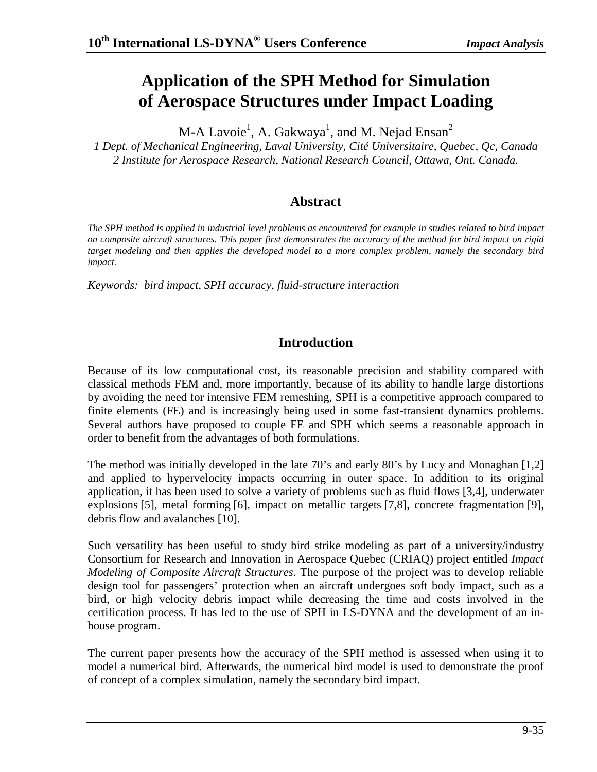# **Application of the SPH Method for Simulation of Aerospace Structures under Impact Loading**

M-A Lavoi $\rm e^1$ , A. Gakwaya $^1$ , and M. Nejad Ensan $^2$ 

*1 Dept. of Mechanical Engineering, Laval University, Cité Universitaire, Quebec, Qc, Canada 2 Institute for Aerospace Research, National Research Council, Ottawa, Ont. Canada.* 

# **Abstract**

*The SPH method is applied in industrial level problems as encountered for example in studies related to bird impact on composite aircraft structures. This paper first demonstrates the accuracy of the method for bird impact on rigid target modeling and then applies the developed model to a more complex problem, namely the secondary bird impact.* 

*Keywords: bird impact, SPH accuracy, fluid-structure interaction*

# **Introduction**

Because of its low computational cost, its reasonable precision and stability compared with classical methods FEM and, more importantly, because of its ability to handle large distortions by avoiding the need for intensive FEM remeshing, SPH is a competitive approach compared to finite elements (FE) and is increasingly being used in some fast-transient dynamics problems. Several authors have proposed to couple FE and SPH which seems a reasonable approach in order to benefit from the advantages of both formulations.

The method was initially developed in the late 70's and early 80's by Lucy and Monaghan [1,2] and applied to hypervelocity impacts occurring in outer space. In addition to its original application, it has been used to solve a variety of problems such as fluid flows [3,4], underwater explosions [5], metal forming [6], impact on metallic targets [7,8], concrete fragmentation [9], debris flow and avalanches [10].

Such versatility has been useful to study bird strike modeling as part of a university/industry Consortium for Research and Innovation in Aerospace Quebec (CRIAQ) project entitled *Impact Modeling of Composite Aircraft Structures*. The purpose of the project was to develop reliable design tool for passengers' protection when an aircraft undergoes soft body impact, such as a bird, or high velocity debris impact while decreasing the time and costs involved in the certification process. It has led to the use of SPH in LS-DYNA and the development of an inhouse program.

The current paper presents how the accuracy of the SPH method is assessed when using it to model a numerical bird. Afterwards, the numerical bird model is used to demonstrate the proof of concept of a complex simulation, namely the secondary bird impact.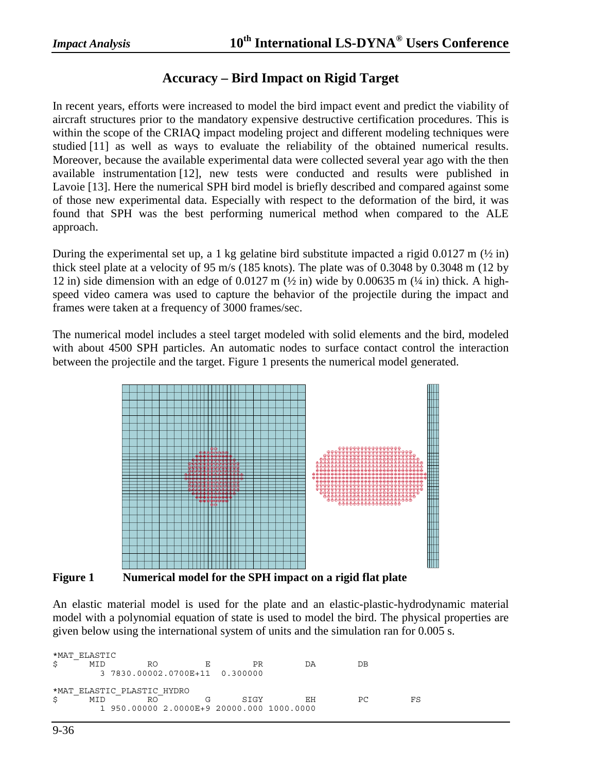#### **Accuracy – Bird Impact on Rigid Target**

In recent years, efforts were increased to model the bird impact event and predict the viability of aircraft structures prior to the mandatory expensive destructive certification procedures. This is within the scope of the CRIAQ impact modeling project and different modeling techniques were studied [11] as well as ways to evaluate the reliability of the obtained numerical results. Moreover, because the available experimental data were collected several year ago with the then available instrumentation [12], new tests were conducted and results were published in Lavoie [13]. Here the numerical SPH bird model is briefly described and compared against some of those new experimental data. Especially with respect to the deformation of the bird, it was found that SPH was the best performing numerical method when compared to the ALE approach.

During the experimental set up, a 1 kg gelatine bird substitute impacted a rigid 0.0127 m ( $\frac{1}{2}$  in) thick steel plate at a velocity of 95 m/s (185 knots). The plate was of 0.3048 by 0.3048 m (12 by 12 in) side dimension with an edge of  $0.0127$  m  $\left(\frac{1}{2} \text{ in} \right)$  wide by  $0.00635$  m  $\left(\frac{1}{4} \text{ in} \right)$  thick. A highspeed video camera was used to capture the behavior of the projectile during the impact and frames were taken at a frequency of 3000 frames/sec.

The numerical model includes a steel target modeled with solid elements and the bird, modeled with about 4500 SPH particles. An automatic nodes to surface contact control the interaction between the projectile and the target. Figure 1 presents the numerical model generated.



**Figure 1 Numerical model for the SPH impact on a rigid flat plate** 

An elastic material model is used for the plate and an elastic-plastic-hydrodynamic material model with a polynomial equation of state is used to model the bird. The physical properties are given below using the international system of units and the simulation ran for 0.005 s.

\*MAT\_ELASTIC<br>\$ MID \$ MID RO E PR DA DB 3 7830.00002.0700E+11 0.300000 \*MAT\_ELASTIC\_PLASTIC\_HYDRO \$ MID RO G SIGY EH PC FS 1 950.00000 2.0000E+9 20000.000 1000.0000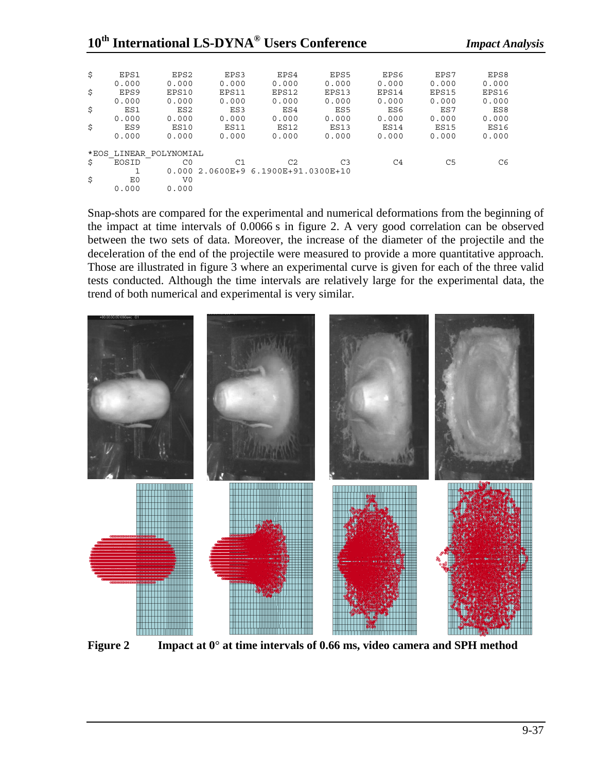| \$                        | EPS1<br>0.000   | EPS <sub>2</sub><br>0.000 | EPS3<br>0.000 | EPS4<br>0.000                 | EPS5<br>0.000  | EPS6<br>0.000 | EPS7<br>0.000 | EPS8<br>0.000 |
|---------------------------|-----------------|---------------------------|---------------|-------------------------------|----------------|---------------|---------------|---------------|
| \$                        | EPS9            | EPS10                     | EPS11         | EPS12                         | EPS13          | EPS14         | EPS15         | EPS16         |
|                           | 0.000           | 0.000                     | 0.000         | 0.000                         | 0.000          | 0.000         | 0.000         | 0.000         |
| \$                        | ES1             | ES <sub>2</sub>           | ES3           | ES4                           | ES5            | ES6           | ES7           | ES8           |
|                           | 0.000           | 0.000                     | 0.000         | 0.000                         | 0.000          | 0.000         | 0.000         | 0.000         |
| \$                        | ES <sub>9</sub> | <b>ES10</b>               | <b>ES11</b>   | <b>ES12</b>                   | <b>ES13</b>    | <b>ES14</b>   | <b>ES15</b>   | ES16          |
|                           | 0.000           | 0.000                     | 0.000         | 0.000                         | 0.000          | 0.000         | 0.000         | 0.000         |
| LINEAR POLYNOMIAL<br>*EOS |                 |                           |               |                               |                |               |               |               |
| \$                        | EOSID           | C <sub>0</sub>            | C1            | C2                            | C <sub>3</sub> | C4            | C5            | C6            |
|                           |                 | 0.000                     |               | 2.0600E+9 6.1900E+91.0300E+10 |                |               |               |               |
| \$                        | E0              | V <sub>0</sub>            |               |                               |                |               |               |               |
|                           | 0.000           | 0.000                     |               |                               |                |               |               |               |

Snap-shots are compared for the experimental and numerical deformations from the beginning of the impact at time intervals of 0.0066 s in figure 2. A very good correlation can be observed between the two sets of data. Moreover, the increase of the diameter of the projectile and the deceleration of the end of the projectile were measured to provide a more quantitative approach. Those are illustrated in figure 3 where an experimental curve is given for each of the three valid tests conducted. Although the time intervals are relatively large for the experimental data, the trend of both numerical and experimental is very similar.



**Figure 2 Impact at 0**° **at time intervals of 0.66 ms, video camera and SPH method**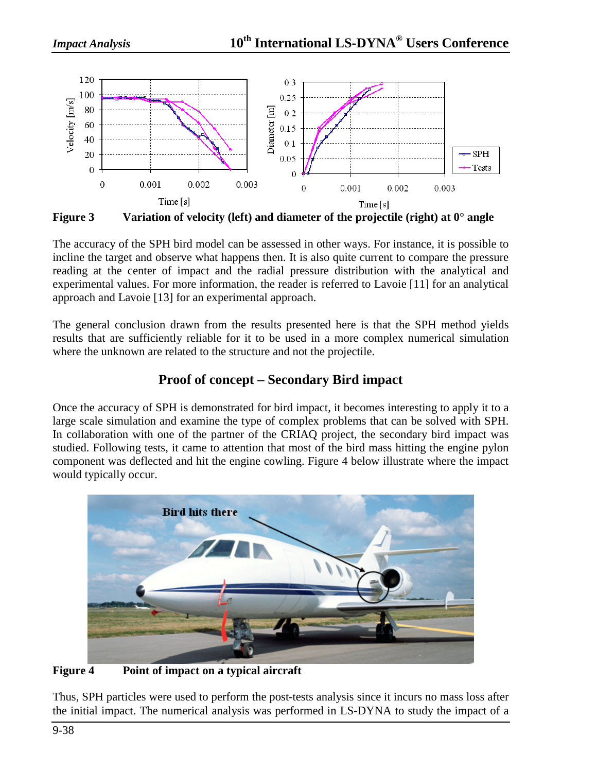

**Figure 3 Variation of velocity (left) and diameter of the projectile (right) at 0**° **angle** 

The accuracy of the SPH bird model can be assessed in other ways. For instance, it is possible to incline the target and observe what happens then. It is also quite current to compare the pressure reading at the center of impact and the radial pressure distribution with the analytical and experimental values. For more information, the reader is referred to Lavoie [11] for an analytical approach and Lavoie [13] for an experimental approach.

The general conclusion drawn from the results presented here is that the SPH method yields results that are sufficiently reliable for it to be used in a more complex numerical simulation where the unknown are related to the structure and not the projectile.

# **Proof of concept – Secondary Bird impact**

Once the accuracy of SPH is demonstrated for bird impact, it becomes interesting to apply it to a large scale simulation and examine the type of complex problems that can be solved with SPH. In collaboration with one of the partner of the CRIAQ project, the secondary bird impact was studied. Following tests, it came to attention that most of the bird mass hitting the engine pylon component was deflected and hit the engine cowling. Figure 4 below illustrate where the impact would typically occur.



**Figure 4 Point of impact on a typical aircraft** 

Thus, SPH particles were used to perform the post-tests analysis since it incurs no mass loss after the initial impact. The numerical analysis was performed in LS-DYNA to study the impact of a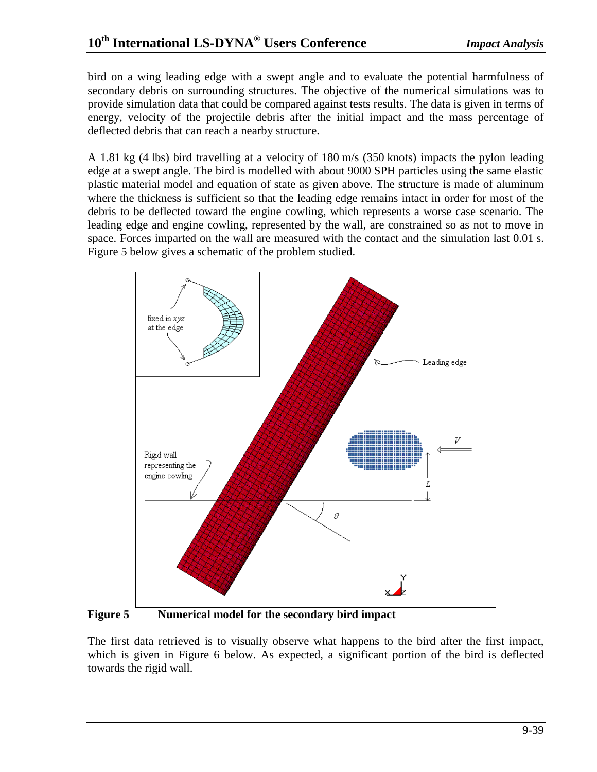bird on a wing leading edge with a swept angle and to evaluate the potential harmfulness of secondary debris on surrounding structures. The objective of the numerical simulations was to provide simulation data that could be compared against tests results. The data is given in terms of energy, velocity of the projectile debris after the initial impact and the mass percentage of deflected debris that can reach a nearby structure.

A 1.81 kg (4 lbs) bird travelling at a velocity of 180 m/s (350 knots) impacts the pylon leading edge at a swept angle. The bird is modelled with about 9000 SPH particles using the same elastic plastic material model and equation of state as given above. The structure is made of aluminum where the thickness is sufficient so that the leading edge remains intact in order for most of the debris to be deflected toward the engine cowling, which represents a worse case scenario. The leading edge and engine cowling, represented by the wall, are constrained so as not to move in space. Forces imparted on the wall are measured with the contact and the simulation last 0.01 s. Figure 5 below gives a schematic of the problem studied.



**Figure 5 Numerical model for the secondary bird impact** 

The first data retrieved is to visually observe what happens to the bird after the first impact, which is given in Figure 6 below. As expected, a significant portion of the bird is deflected towards the rigid wall.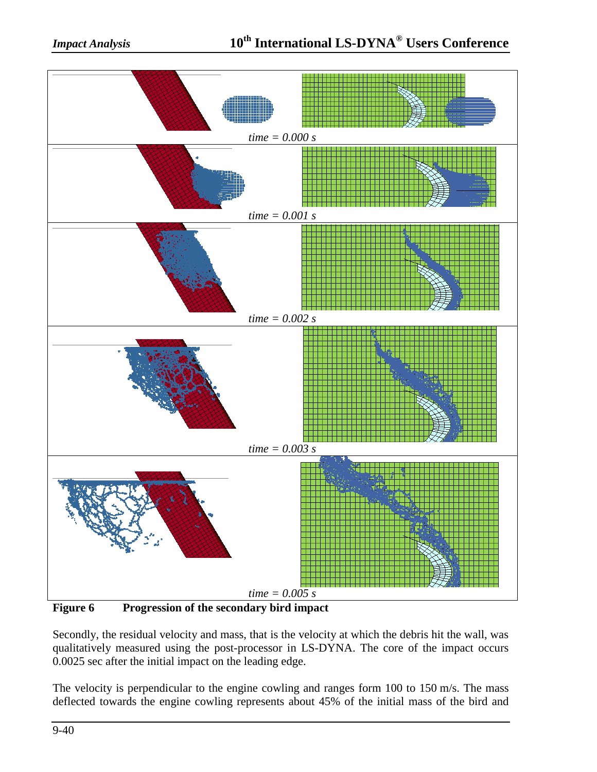

**Figure 6 Progression of the secondary bird impact** 

Secondly, the residual velocity and mass, that is the velocity at which the debris hit the wall, was qualitatively measured using the post-processor in LS-DYNA. The core of the impact occurs 0.0025 sec after the initial impact on the leading edge.

The velocity is perpendicular to the engine cowling and ranges form 100 to 150 m/s. The mass deflected towards the engine cowling represents about 45% of the initial mass of the bird and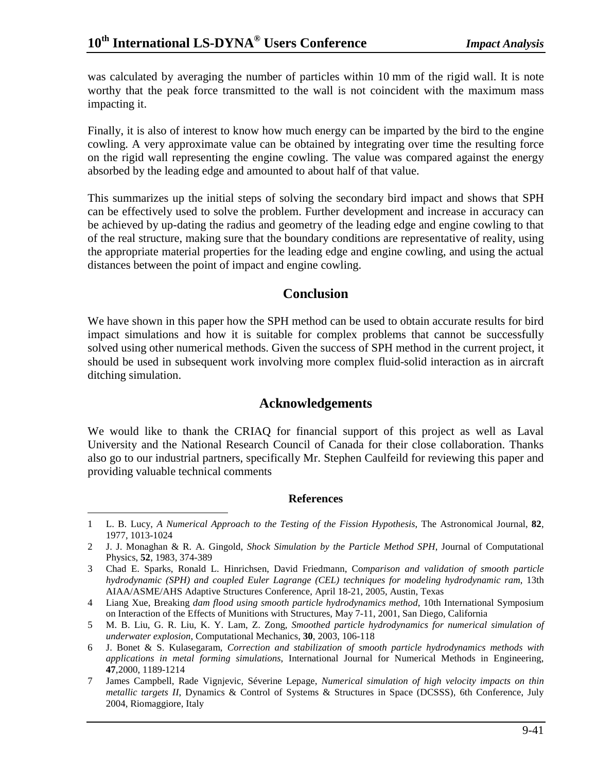was calculated by averaging the number of particles within 10 mm of the rigid wall. It is note worthy that the peak force transmitted to the wall is not coincident with the maximum mass impacting it.

Finally, it is also of interest to know how much energy can be imparted by the bird to the engine cowling. A very approximate value can be obtained by integrating over time the resulting force on the rigid wall representing the engine cowling. The value was compared against the energy absorbed by the leading edge and amounted to about half of that value.

This summarizes up the initial steps of solving the secondary bird impact and shows that SPH can be effectively used to solve the problem. Further development and increase in accuracy can be achieved by up-dating the radius and geometry of the leading edge and engine cowling to that of the real structure, making sure that the boundary conditions are representative of reality, using the appropriate material properties for the leading edge and engine cowling, and using the actual distances between the point of impact and engine cowling.

### **Conclusion**

We have shown in this paper how the SPH method can be used to obtain accurate results for bird impact simulations and how it is suitable for complex problems that cannot be successfully solved using other numerical methods. Given the success of SPH method in the current project, it should be used in subsequent work involving more complex fluid-solid interaction as in aircraft ditching simulation.

# **Acknowledgements**

We would like to thank the CRIAQ for financial support of this project as well as Laval University and the National Research Council of Canada for their close collaboration. Thanks also go to our industrial partners, specifically Mr. Stephen Caulfeild for reviewing this paper and providing valuable technical comments

#### **References**

<sup>-</sup>1 L. B. Lucy, *A Numerical Approach to the Testing of the Fission Hypothesis*, The Astronomical Journal, **82**, 1977, 1013-1024

<sup>2</sup> J. J. Monaghan & R. A. Gingold, *Shock Simulation by the Particle Method SPH*, Journal of Computational Physics, **52**, 1983, 374-389

<sup>3</sup> Chad E. Sparks, Ronald L. Hinrichsen, David Friedmann, Co*mparison and validation of smooth particle hydrodynamic (SPH) and coupled Euler Lagrange (CEL) techniques for modeling hydrodynamic ram*, 13th AIAA/ASME/AHS Adaptive Structures Conference, April 18-21, 2005, Austin, Texas

<sup>4</sup> Liang Xue, Breaking *dam flood using smooth particle hydrodynamics method*, 10th International Symposium on Interaction of the Effects of Munitions with Structures, May 7-11, 2001, San Diego, California

<sup>5</sup> M. B. Liu, G. R. Liu, K. Y. Lam, Z. Zong, *Smoothed particle hydrodynamics for numerical simulation of underwater explosion*, Computational Mechanics, **30**, 2003, 106-118

<sup>6</sup> J. Bonet & S. Kulasegaram, *Correction and stabilization of smooth particle hydrodynamics methods with applications in metal forming simulations*, International Journal for Numerical Methods in Engineering, **47**,2000, 1189-1214

<sup>7</sup> James Campbell, Rade Vignjevic, Séverine Lepage, *Numerical simulation of high velocity impacts on thin metallic targets II*, Dynamics & Control of Systems & Structures in Space (DCSSS), 6th Conference, July 2004, Riomaggiore, Italy